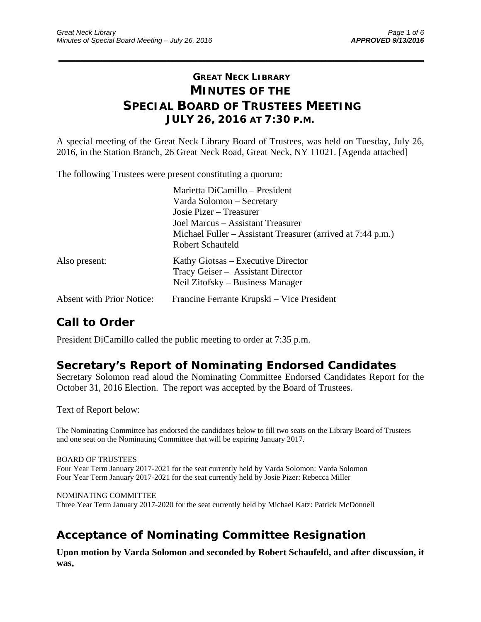## **GREAT NECK LIBRARY MINUTES OF THE SPECIAL BOARD OF TRUSTEES MEETING JULY 26, 2016 AT 7:30 P.M.**

\_\_\_\_\_\_\_\_\_\_\_\_\_\_\_\_\_\_\_\_\_\_\_\_\_\_\_\_\_\_\_\_\_\_\_\_\_\_\_\_\_\_\_\_\_\_\_\_\_\_\_\_\_\_\_\_\_\_\_\_\_\_\_\_\_\_\_\_\_\_\_\_\_\_\_\_\_\_\_\_\_\_\_\_\_\_\_\_\_\_\_\_\_

A special meeting of the Great Neck Library Board of Trustees, was held on Tuesday, July 26, 2016, in the Station Branch, 26 Great Neck Road, Great Neck, NY 11021. [Agenda attached]

The following Trustees were present constituting a quorum:

|                                  | Marietta DiCamillo - President                              |
|----------------------------------|-------------------------------------------------------------|
|                                  | Varda Solomon – Secretary                                   |
|                                  | Josie Pizer – Treasurer                                     |
|                                  | Joel Marcus – Assistant Treasurer                           |
|                                  | Michael Fuller – Assistant Treasurer (arrived at 7:44 p.m.) |
|                                  | Robert Schaufeld                                            |
| Also present:                    | Kathy Giotsas – Executive Director                          |
|                                  | Tracy Geiser - Assistant Director                           |
|                                  | Neil Zitofsky – Business Manager                            |
| <b>Absent with Prior Notice:</b> | Francine Ferrante Krupski – Vice President                  |

## **Call to Order**

President DiCamillo called the public meeting to order at 7:35 p.m.

### **Secretary's Report of Nominating Endorsed Candidates**

Secretary Solomon read aloud the Nominating Committee Endorsed Candidates Report for the October 31, 2016 Election. The report was accepted by the Board of Trustees.

Text of Report below:

The Nominating Committee has endorsed the candidates below to fill two seats on the Library Board of Trustees and one seat on the Nominating Committee that will be expiring January 2017.

#### BOARD OF TRUSTEES

Four Year Term January 2017-2021 for the seat currently held by Varda Solomon: Varda Solomon Four Year Term January 2017-2021 for the seat currently held by Josie Pizer: Rebecca Miller

NOMINATING COMMITTEE Three Year Term January 2017-2020 for the seat currently held by Michael Katz: Patrick McDonnell

# **Acceptance of Nominating Committee Resignation**

**Upon motion by Varda Solomon and seconded by Robert Schaufeld, and after discussion, it was,**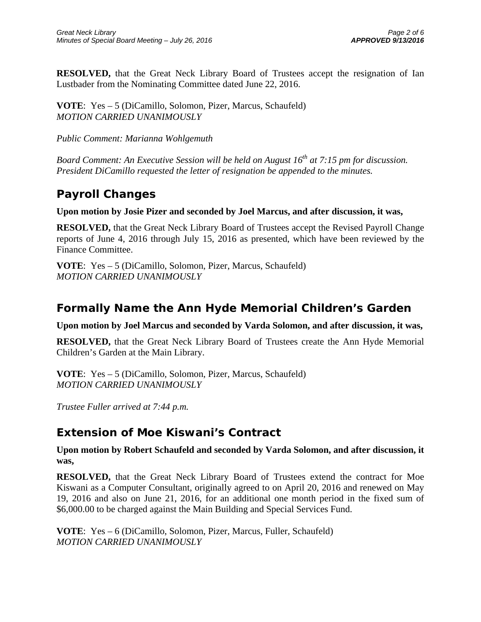**RESOLVED,** that the Great Neck Library Board of Trustees accept the resignation of Ian Lustbader from the Nominating Committee dated June 22, 2016.

**VOTE**: Yes – 5 (DiCamillo, Solomon, Pizer, Marcus, Schaufeld) *MOTION CARRIED UNANIMOUSLY* 

*Public Comment: Marianna Wohlgemuth* 

*Board Comment: An Executive Session will be held on August 16<sup>th</sup> at 7:15 pm for discussion. President DiCamillo requested the letter of resignation be appended to the minutes.* 

### **Payroll Changes**

**Upon motion by Josie Pizer and seconded by Joel Marcus, and after discussion, it was,** 

**RESOLVED,** that the Great Neck Library Board of Trustees accept the Revised Payroll Change reports of June 4, 2016 through July 15, 2016 as presented, which have been reviewed by the Finance Committee.

**VOTE**: Yes – 5 (DiCamillo, Solomon, Pizer, Marcus, Schaufeld) *MOTION CARRIED UNANIMOUSLY* 

# **Formally Name the Ann Hyde Memorial Children's Garden**

**Upon motion by Joel Marcus and seconded by Varda Solomon, and after discussion, it was,** 

**RESOLVED,** that the Great Neck Library Board of Trustees create the Ann Hyde Memorial Children's Garden at the Main Library.

**VOTE**: Yes – 5 (DiCamillo, Solomon, Pizer, Marcus, Schaufeld) *MOTION CARRIED UNANIMOUSLY* 

*Trustee Fuller arrived at 7:44 p.m.* 

### **Extension of Moe Kiswani's Contract**

**Upon motion by Robert Schaufeld and seconded by Varda Solomon, and after discussion, it was,** 

**RESOLVED,** that the Great Neck Library Board of Trustees extend the contract for Moe Kiswani as a Computer Consultant, originally agreed to on April 20, 2016 and renewed on May 19, 2016 and also on June 21, 2016, for an additional one month period in the fixed sum of \$6,000.00 to be charged against the Main Building and Special Services Fund.

**VOTE**: Yes – 6 (DiCamillo, Solomon, Pizer, Marcus, Fuller, Schaufeld) *MOTION CARRIED UNANIMOUSLY*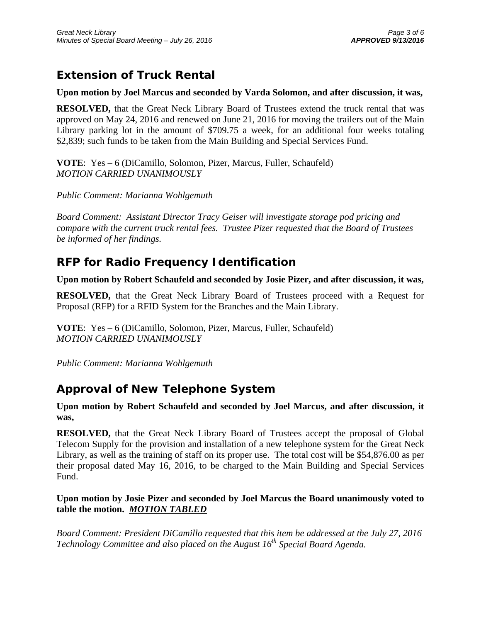# **Extension of Truck Rental**

#### **Upon motion by Joel Marcus and seconded by Varda Solomon, and after discussion, it was,**

**RESOLVED,** that the Great Neck Library Board of Trustees extend the truck rental that was approved on May 24, 2016 and renewed on June 21, 2016 for moving the trailers out of the Main Library parking lot in the amount of \$709.75 a week, for an additional four weeks totaling \$2,839; such funds to be taken from the Main Building and Special Services Fund.

**VOTE**: Yes – 6 (DiCamillo, Solomon, Pizer, Marcus, Fuller, Schaufeld) *MOTION CARRIED UNANIMOUSLY* 

*Public Comment: Marianna Wohlgemuth* 

*Board Comment: Assistant Director Tracy Geiser will investigate storage pod pricing and compare with the current truck rental fees. Trustee Pizer requested that the Board of Trustees be informed of her findings.* 

### **RFP for Radio Frequency Identification**

#### **Upon motion by Robert Schaufeld and seconded by Josie Pizer, and after discussion, it was,**

**RESOLVED,** that the Great Neck Library Board of Trustees proceed with a Request for Proposal (RFP) for a RFID System for the Branches and the Main Library.

**VOTE**: Yes – 6 (DiCamillo, Solomon, Pizer, Marcus, Fuller, Schaufeld) *MOTION CARRIED UNANIMOUSLY* 

*Public Comment: Marianna Wohlgemuth* 

### **Approval of New Telephone System**

**Upon motion by Robert Schaufeld and seconded by Joel Marcus, and after discussion, it was,** 

**RESOLVED,** that the Great Neck Library Board of Trustees accept the proposal of Global Telecom Supply for the provision and installation of a new telephone system for the Great Neck Library, as well as the training of staff on its proper use. The total cost will be \$54,876.00 as per their proposal dated May 16, 2016, to be charged to the Main Building and Special Services Fund.

#### **Upon motion by Josie Pizer and seconded by Joel Marcus the Board unanimously voted to table the motion.** *MOTION TABLED*

*Board Comment: President DiCamillo requested that this item be addressed at the July 27, 2016 Technology Committee and also placed on the August 16th Special Board Agenda.*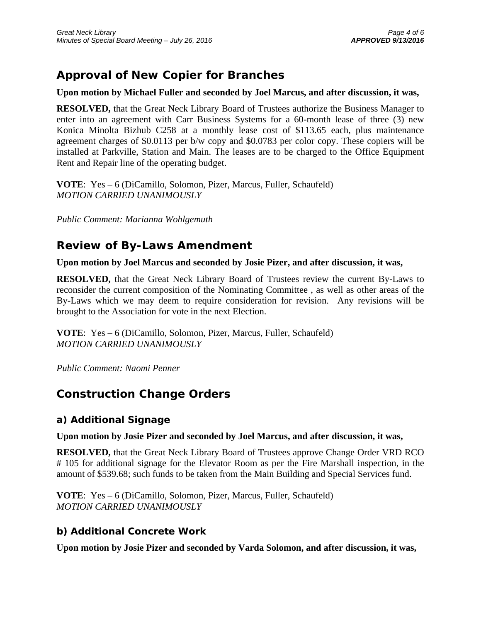# **Approval of New Copier for Branches**

#### **Upon motion by Michael Fuller and seconded by Joel Marcus, and after discussion, it was,**

**RESOLVED,** that the Great Neck Library Board of Trustees authorize the Business Manager to enter into an agreement with Carr Business Systems for a 60-month lease of three (3) new Konica Minolta Bizhub C258 at a monthly lease cost of \$113.65 each, plus maintenance agreement charges of \$0.0113 per b/w copy and \$0.0783 per color copy. These copiers will be installed at Parkville, Station and Main. The leases are to be charged to the Office Equipment Rent and Repair line of the operating budget.

**VOTE**: Yes – 6 (DiCamillo, Solomon, Pizer, Marcus, Fuller, Schaufeld) *MOTION CARRIED UNANIMOUSLY* 

*Public Comment: Marianna Wohlgemuth* 

## **Review of By-Laws Amendment**

#### **Upon motion by Joel Marcus and seconded by Josie Pizer, and after discussion, it was,**

**RESOLVED,** that the Great Neck Library Board of Trustees review the current By-Laws to reconsider the current composition of the Nominating Committee , as well as other areas of the By-Laws which we may deem to require consideration for revision. Any revisions will be brought to the Association for vote in the next Election.

**VOTE**: Yes – 6 (DiCamillo, Solomon, Pizer, Marcus, Fuller, Schaufeld) *MOTION CARRIED UNANIMOUSLY* 

*Public Comment: Naomi Penner* 

## **Construction Change Orders**

### **a) Additional Signage**

#### **Upon motion by Josie Pizer and seconded by Joel Marcus, and after discussion, it was,**

**RESOLVED,** that the Great Neck Library Board of Trustees approve Change Order VRD RCO # 105 for additional signage for the Elevator Room as per the Fire Marshall inspection, in the amount of \$539.68; such funds to be taken from the Main Building and Special Services fund.

**VOTE**: Yes – 6 (DiCamillo, Solomon, Pizer, Marcus, Fuller, Schaufeld) *MOTION CARRIED UNANIMOUSLY* 

### **b) Additional Concrete Work**

**Upon motion by Josie Pizer and seconded by Varda Solomon, and after discussion, it was,**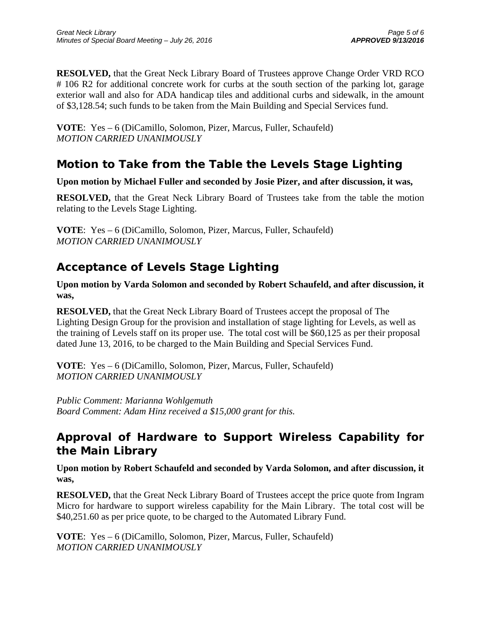**RESOLVED,** that the Great Neck Library Board of Trustees approve Change Order VRD RCO # 106 R2 for additional concrete work for curbs at the south section of the parking lot, garage exterior wall and also for ADA handicap tiles and additional curbs and sidewalk, in the amount of \$3,128.54; such funds to be taken from the Main Building and Special Services fund.

**VOTE**: Yes – 6 (DiCamillo, Solomon, Pizer, Marcus, Fuller, Schaufeld) *MOTION CARRIED UNANIMOUSLY* 

# **Motion to Take from the Table the Levels Stage Lighting**

### **Upon motion by Michael Fuller and seconded by Josie Pizer, and after discussion, it was,**

**RESOLVED,** that the Great Neck Library Board of Trustees take from the table the motion relating to the Levels Stage Lighting.

**VOTE**: Yes – 6 (DiCamillo, Solomon, Pizer, Marcus, Fuller, Schaufeld) *MOTION CARRIED UNANIMOUSLY* 

# **Acceptance of Levels Stage Lighting**

**Upon motion by Varda Solomon and seconded by Robert Schaufeld, and after discussion, it was,** 

**RESOLVED,** that the Great Neck Library Board of Trustees accept the proposal of The Lighting Design Group for the provision and installation of stage lighting for Levels, as well as the training of Levels staff on its proper use. The total cost will be \$60,125 as per their proposal dated June 13, 2016, to be charged to the Main Building and Special Services Fund.

**VOTE**: Yes – 6 (DiCamillo, Solomon, Pizer, Marcus, Fuller, Schaufeld) *MOTION CARRIED UNANIMOUSLY* 

*Public Comment: Marianna Wohlgemuth Board Comment: Adam Hinz received a \$15,000 grant for this.* 

# **Approval of Hardware to Support Wireless Capability for the Main Library**

**Upon motion by Robert Schaufeld and seconded by Varda Solomon, and after discussion, it was,** 

**RESOLVED,** that the Great Neck Library Board of Trustees accept the price quote from Ingram Micro for hardware to support wireless capability for the Main Library. The total cost will be \$40,251.60 as per price quote, to be charged to the Automated Library Fund.

**VOTE**: Yes – 6 (DiCamillo, Solomon, Pizer, Marcus, Fuller, Schaufeld) *MOTION CARRIED UNANIMOUSLY*